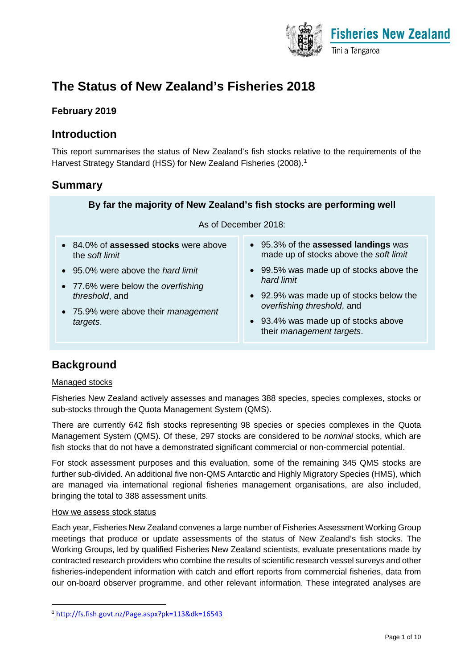

# **The Status of New Zealand's Fisheries 2018**

### **February 2019**

### **Introduction**

This report summarises the status of New Zealand's fish stocks relative to the requirements of the Harvest Strategy Standard (HSS) for New Zealand Fisheries (2008).[1](#page-0-0)

### **Summary**

### **By far the majority of New Zealand's fish stocks are performing well**

#### As of December 2018:

- 84.0% of **assessed stocks** were above the *soft limit*
- 95.0% were above the *hard limit*
- 77.6% were below the *overfishing threshold*, and
- 75.9% were above their *management targets*.
- 95.3% of the **assessed landings** was made up of stocks above the *soft limit*
- 99.5% was made up of stocks above the *hard limit*
- 92.9% was made up of stocks below the *overfishing threshold*, and
- 93.4% was made up of stocks above their *management targets*.

## **Background**

### Managed stocks

Fisheries New Zealand actively assesses and manages 388 species, species complexes, stocks or sub-stocks through the Quota Management System (QMS).

There are currently 642 fish stocks representing 98 species or species complexes in the Quota Management System (QMS). Of these, 297 stocks are considered to be *nominal* stocks, which are fish stocks that do not have a demonstrated significant commercial or non-commercial potential.

For stock assessment purposes and this evaluation, some of the remaining 345 QMS stocks are further sub-divided. An additional five non-QMS Antarctic and Highly Migratory Species (HMS), which are managed via international regional fisheries management organisations, are also included, bringing the total to 388 assessment units.

#### How we assess stock status

Each year, Fisheries New Zealand convenes a large number of Fisheries Assessment Working Group meetings that produce or update assessments of the status of New Zealand's fish stocks. The Working Groups, led by qualified Fisheries New Zealand scientists, evaluate presentations made by contracted research providers who combine the results of scientific research vessel surveys and other fisheries-independent information with catch and effort reports from commercial fisheries, data from our on-board observer programme, and other relevant information. These integrated analyses are

<span id="page-0-0"></span> <sup>1</sup> <http://fs.fish.govt.nz/Page.aspx?pk=113&dk=16543>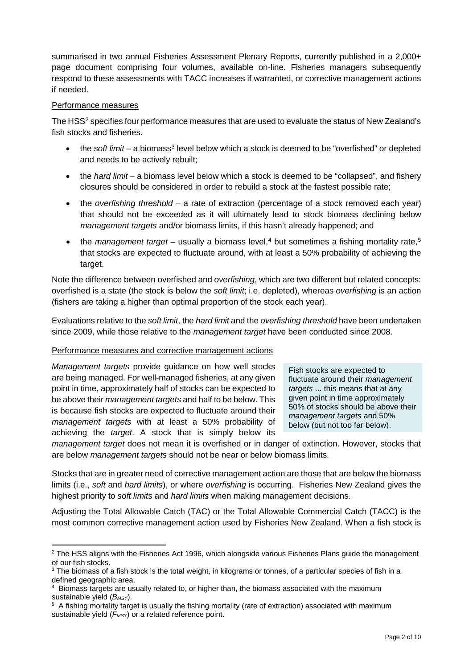summarised in two annual Fisheries Assessment Plenary Reports, currently published in a 2,000+ page document comprising four volumes, available on-line. Fisheries managers subsequently respond to these assessments with TACC increases if warranted, or corrective management actions if needed.

### Performance measures

 $\overline{a}$ 

The HSS<sup>[2](#page-1-0)</sup> specifies four performance measures that are used to evaluate the status of New Zealand's fish stocks and fisheries.

- the *soft limit* a biomass<sup>[3](#page-1-1)</sup> level below which a stock is deemed to be "overfished" or depleted and needs to be actively rebuilt;
- the *hard limit* a biomass level below which a stock is deemed to be "collapsed", and fishery closures should be considered in order to rebuild a stock at the fastest possible rate;
- the *overfishing threshold* a rate of extraction (percentage of a stock removed each year) that should not be exceeded as it will ultimately lead to stock biomass declining below *management targets* and/or biomass limits, if this hasn't already happened; and
- the *management target* usually a biomass level,<sup>[4](#page-1-2)</sup> but sometimes a fishing mortality rate,<sup>[5](#page-1-3)</sup> that stocks are expected to fluctuate around, with at least a 50% probability of achieving the target.

Note the difference between overfished and *overfishing*, which are two different but related concepts: overfished is a state (the stock is below the *soft limit*; i.e. depleted), whereas *overfishing* is an action (fishers are taking a higher than optimal proportion of the stock each year).

Evaluations relative to the *soft limit*, the *hard limit* and the *overfishing threshold* have been undertaken since 2009, while those relative to the *management target* have been conducted since 2008.

### Performance measures and corrective management actions

*Management targets* provide guidance on how well stocks are being managed. For well-managed fisheries, at any given point in time, approximately half of stocks can be expected to be above their *management targets* and half to be below. This is because fish stocks are expected to fluctuate around their *management targets* with at least a 50% probability of achieving the *target*. A stock that is simply below its

Fish stocks are expected to fluctuate around their *management targets* ... this means that at any given point in time approximately 50% of stocks should be above their *management targets* and 50% below (but not too far below).

*management target* does not mean it is overfished or in danger of extinction. However, stocks that are below *management targets* should not be near or below biomass limits.

Stocks that are in greater need of corrective management action are those that are below the biomass limits (i.e., *soft* and *hard limits*), or where *overfishing* is occurring. Fisheries New Zealand gives the highest priority to *soft limits* and *hard limits* when making management decisions.

Adjusting the Total Allowable Catch (TAC) or the Total Allowable Commercial Catch (TACC) is the most common corrective management action used by Fisheries New Zealand. When a fish stock is

<span id="page-1-0"></span> $2$  The HSS aligns with the Fisheries Act 1996, which alongside various Fisheries Plans guide the management of our fish stocks.

<span id="page-1-1"></span> $3$  The biomass of a fish stock is the total weight, in kilograms or tonnes, of a particular species of fish in a defined geographic area.

<span id="page-1-2"></span><sup>4</sup> Biomass targets are usually related to, or higher than, the biomass associated with the maximum sustainable yield (*BMSY*).

<span id="page-1-3"></span><sup>5</sup> A fishing mortality target is usually the fishing mortality (rate of extraction) associated with maximum sustainable yield ( $F$ <sub>MSY</sub>) or a related reference point.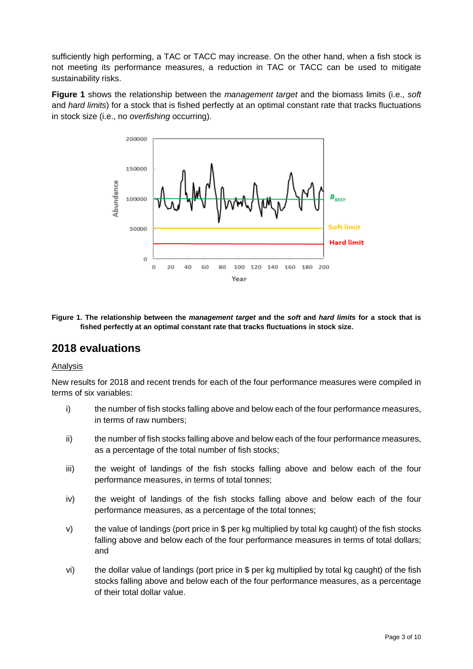sufficiently high performing, a TAC or TACC may increase. On the other hand, when a fish stock is not meeting its performance measures, a reduction in TAC or TACC can be used to mitigate sustainability risks.

**Figure 1** shows the relationship between the *management target* and the biomass limits (i.e., *soft* and *hard limits*) for a stock that is fished perfectly at an optimal constant rate that tracks fluctuations in stock size (i.e., no *overfishing* occurring).



**Figure 1. The relationship between the** *management target* **and the** *soft* **and** *hard limits* **for a stock that is fished perfectly at an optimal constant rate that tracks fluctuations in stock size.**

### **2018 evaluations**

#### Analysis

New results for 2018 and recent trends for each of the four performance measures were compiled in terms of six variables:

- i) the number of fish stocks falling above and below each of the four performance measures, in terms of raw numbers;
- ii) the number of fish stocks falling above and below each of the four performance measures, as a percentage of the total number of fish stocks;
- iii) the weight of landings of the fish stocks falling above and below each of the four performance measures, in terms of total tonnes;
- iv) the weight of landings of the fish stocks falling above and below each of the four performance measures, as a percentage of the total tonnes;
- v) the value of landings (port price in \$ per kg multiplied by total kg caught) of the fish stocks falling above and below each of the four performance measures in terms of total dollars; and
- vi) the dollar value of landings (port price in \$ per kg multiplied by total kg caught) of the fish stocks falling above and below each of the four performance measures, as a percentage of their total dollar value.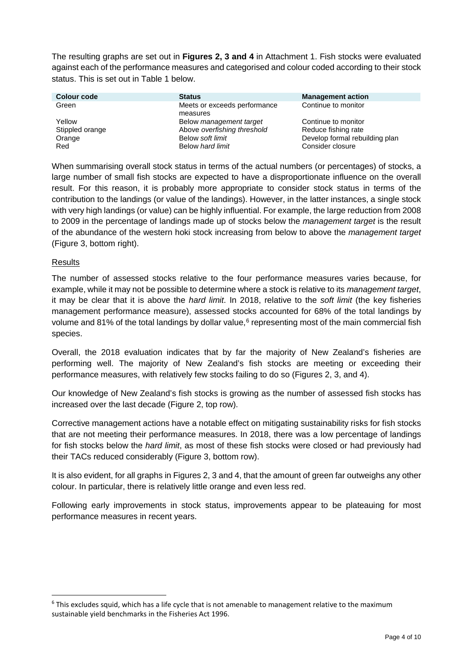The resulting graphs are set out in **Figures 2, 3 and 4** in Attachment 1. Fish stocks were evaluated against each of the performance measures and categorised and colour coded according to their stock status. This is set out in Table 1 below.

| <b>Colour code</b> | <b>Status</b>                            | <b>Management action</b>       |
|--------------------|------------------------------------------|--------------------------------|
| Green              | Meets or exceeds performance<br>measures | Continue to monitor            |
| Yellow             | Below <i>management</i> target           | Continue to monitor            |
| Stippled orange    | Above overfishing threshold              | Reduce fishing rate            |
| Orange             | Below soft limit                         | Develop formal rebuilding plan |
| Red                | Below hard limit                         | Consider closure               |

When summarising overall stock status in terms of the actual numbers (or percentages) of stocks, a large number of small fish stocks are expected to have a disproportionate influence on the overall result. For this reason, it is probably more appropriate to consider stock status in terms of the contribution to the landings (or value of the landings). However, in the latter instances, a single stock with very high landings (or value) can be highly influential. For example, the large reduction from 2008 to 2009 in the percentage of landings made up of stocks below the *management target* is the result of the abundance of the western hoki stock increasing from below to above the *management target* (Figure 3, bottom right).

### **Results**

The number of assessed stocks relative to the four performance measures varies because, for example, while it may not be possible to determine where a stock is relative to its *management target*, it may be clear that it is above the *hard limit*. In 2018, relative to the *soft limit* (the key fisheries management performance measure), assessed stocks accounted for 68% of the total landings by volume and 81% of the total landings by dollar value,<sup>[6](#page-3-0)</sup> representing most of the main commercial fish species.

Overall, the 2018 evaluation indicates that by far the majority of New Zealand's fisheries are performing well. The majority of New Zealand's fish stocks are meeting or exceeding their performance measures, with relatively few stocks failing to do so (Figures 2, 3, and 4).

Our knowledge of New Zealand's fish stocks is growing as the number of assessed fish stocks has increased over the last decade (Figure 2, top row).

Corrective management actions have a notable effect on mitigating sustainability risks for fish stocks that are not meeting their performance measures. In 2018, there was a low percentage of landings for fish stocks below the *hard limit*, as most of these fish stocks were closed or had previously had their TACs reduced considerably (Figure 3, bottom row).

It is also evident, for all graphs in Figures 2, 3 and 4, that the amount of green far outweighs any other colour. In particular, there is relatively little orange and even less red.

Following early improvements in stock status, improvements appear to be plateauing for most performance measures in recent years.

<span id="page-3-0"></span> $6$  This excludes squid, which has a life cycle that is not amenable to management relative to the maximum sustainable yield benchmarks in the Fisheries Act 1996.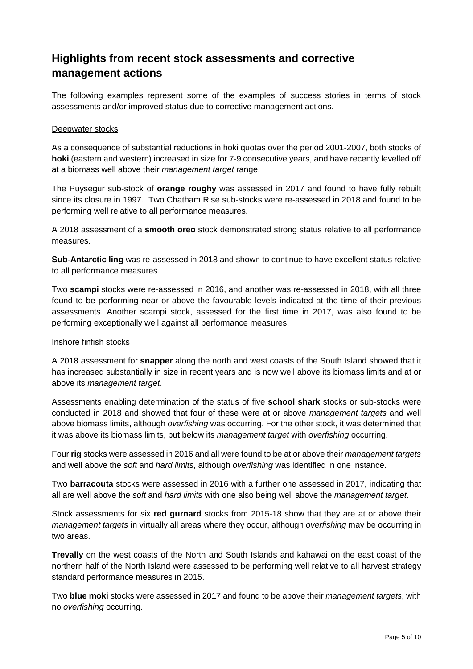# **Highlights from recent stock assessments and corrective management actions**

The following examples represent some of the examples of success stories in terms of stock assessments and/or improved status due to corrective management actions.

### Deepwater stocks

As a consequence of substantial reductions in hoki quotas over the period 2001-2007, both stocks of **hoki** (eastern and western) increased in size for 7-9 consecutive years, and have recently levelled off at a biomass well above their *management target* range.

The Puysegur sub-stock of **orange roughy** was assessed in 2017 and found to have fully rebuilt since its closure in 1997. Two Chatham Rise sub-stocks were re-assessed in 2018 and found to be performing well relative to all performance measures.

A 2018 assessment of a **smooth oreo** stock demonstrated strong status relative to all performance measures.

**Sub-Antarctic ling** was re-assessed in 2018 and shown to continue to have excellent status relative to all performance measures.

Two **scampi** stocks were re-assessed in 2016, and another was re-assessed in 2018, with all three found to be performing near or above the favourable levels indicated at the time of their previous assessments. Another scampi stock, assessed for the first time in 2017, was also found to be performing exceptionally well against all performance measures.

#### Inshore finfish stocks

A 2018 assessment for **snapper** along the north and west coasts of the South Island showed that it has increased substantially in size in recent years and is now well above its biomass limits and at or above its *management target*.

Assessments enabling determination of the status of five **school shark** stocks or sub-stocks were conducted in 2018 and showed that four of these were at or above *management targets* and well above biomass limits, although *overfishing* was occurring. For the other stock, it was determined that it was above its biomass limits, but below its *management target* with *overfishing* occurring.

Four **rig** stocks were assessed in 2016 and all were found to be at or above their *management targets* and well above the *soft* and *hard limits*, although *overfishing* was identified in one instance.

Two **barracouta** stocks were assessed in 2016 with a further one assessed in 2017, indicating that all are well above the *soft* and *hard limits* with one also being well above the *management target*.

Stock assessments for six **red gurnard** stocks from 2015-18 show that they are at or above their *management targets* in virtually all areas where they occur, although *overfishing* may be occurring in two areas.

**Trevally** on the west coasts of the North and South Islands and kahawai on the east coast of the northern half of the North Island were assessed to be performing well relative to all harvest strategy standard performance measures in 2015.

Two **blue moki** stocks were assessed in 2017 and found to be above their *management targets*, with no *overfishing* occurring.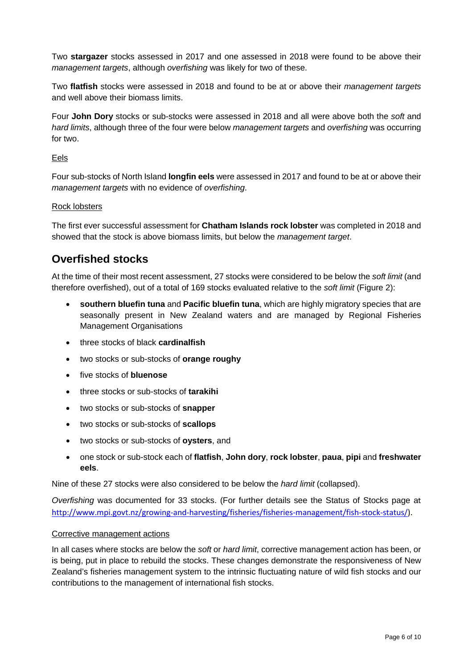Two **stargazer** stocks assessed in 2017 and one assessed in 2018 were found to be above their *management targets*, although *overfishing* was likely for two of these.

Two **flatfish** stocks were assessed in 2018 and found to be at or above their *management targets* and well above their biomass limits.

Four **John Dory** stocks or sub-stocks were assessed in 2018 and all were above both the *soft* and *hard limits*, although three of the four were below *management targets* and *overfishing* was occurring for two.

### Eels

Four sub-stocks of North Island **longfin eels** were assessed in 2017 and found to be at or above their *management targets* with no evidence of *overfishing*.

#### Rock lobsters

The first ever successful assessment for **Chatham Islands rock lobster** was completed in 2018 and showed that the stock is above biomass limits, but below the *management target*.

### **Overfished stocks**

At the time of their most recent assessment, 27 stocks were considered to be below the *soft limit* (and therefore overfished), out of a total of 169 stocks evaluated relative to the *soft limit* (Figure 2):

- **southern bluefin tuna** and **Pacific bluefin tuna**, which are highly migratory species that are seasonally present in New Zealand waters and are managed by Regional Fisheries Management Organisations
- three stocks of black **cardinalfish**
- two stocks or sub-stocks of **orange roughy**
- five stocks of **bluenose**
- three stocks or sub-stocks of **tarakihi**
- two stocks or sub-stocks of **snapper**
- two stocks or sub-stocks of **scallops**
- two stocks or sub-stocks of **oysters**, and
- one stock or sub-stock each of **flatfish**, **John dory**, **rock lobster**, **paua**, **pipi** and **freshwater eels**.

Nine of these 27 stocks were also considered to be below the *hard limit* (collapsed).

*Overfishing* was documented for 33 stocks. (For further details see the Status of Stocks page at [http://www.mpi.govt.nz/growing-and-harvesting/fisheries/fisheries-management/fish-stock-status/\)](http://www.mpi.govt.nz/growing-and-harvesting/fisheries/fisheries-management/fish-stock-status/).

#### Corrective management actions

In all cases where stocks are below the *soft* or *hard limit*, corrective management action has been, or is being, put in place to rebuild the stocks. These changes demonstrate the responsiveness of New Zealand's fisheries management system to the intrinsic fluctuating nature of wild fish stocks and our contributions to the management of international fish stocks.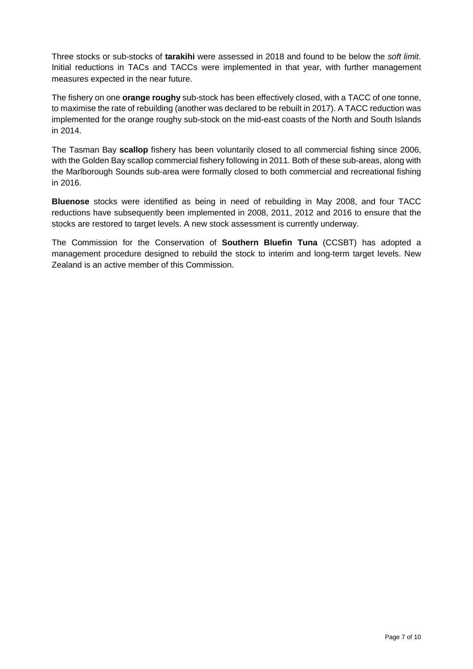Three stocks or sub-stocks of **tarakihi** were assessed in 2018 and found to be below the *soft limit*. Initial reductions in TACs and TACCs were implemented in that year, with further management measures expected in the near future.

The fishery on one **orange roughy** sub-stock has been effectively closed, with a TACC of one tonne, to maximise the rate of rebuilding (another was declared to be rebuilt in 2017). A TACC reduction was implemented for the orange roughy sub-stock on the mid-east coasts of the North and South Islands in 2014.

The Tasman Bay **scallop** fishery has been voluntarily closed to all commercial fishing since 2006, with the Golden Bay scallop commercial fishery following in 2011. Both of these sub-areas, along with the Marlborough Sounds sub-area were formally closed to both commercial and recreational fishing in 2016.

**Bluenose** stocks were identified as being in need of rebuilding in May 2008, and four TACC reductions have subsequently been implemented in 2008, 2011, 2012 and 2016 to ensure that the stocks are restored to target levels. A new stock assessment is currently underway.

The Commission for the Conservation of **Southern Bluefin Tuna** (CCSBT) has adopted a management procedure designed to rebuild the stock to interim and long-term target levels. New Zealand is an active member of this Commission.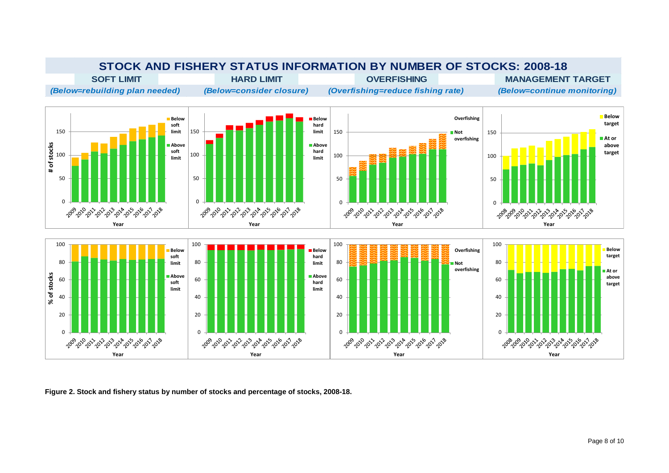

**Figure 2. Stock and fishery status by number of stocks and percentage of stocks, 2008-18.**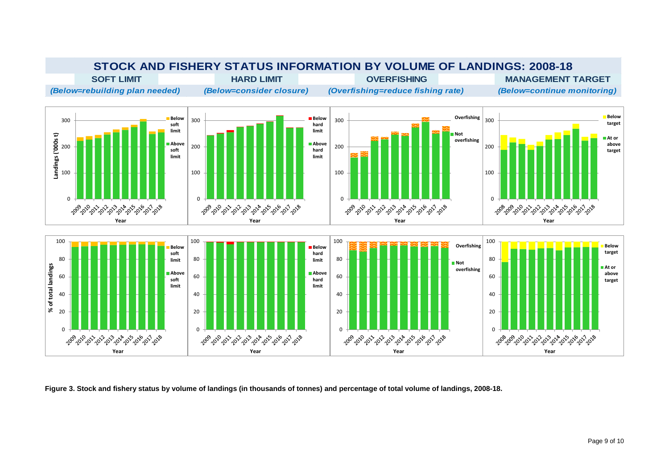

**Figure 3. Stock and fishery status by volume of landings (in thousands of tonnes) and percentage of total volume of landings, 2008-18.**